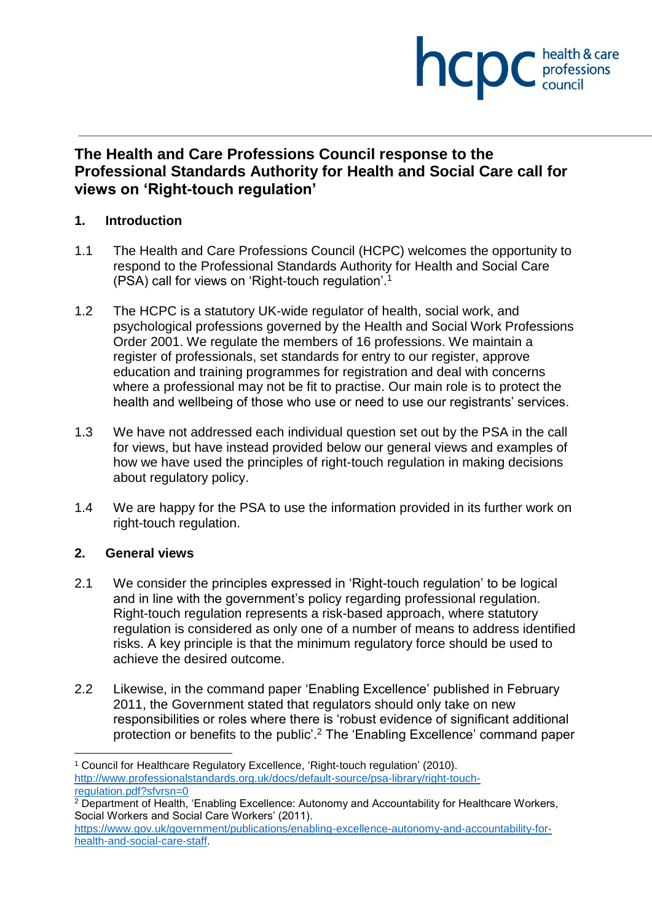

## **The Health and Care Professions Council response to the Professional Standards Authority for Health and Social Care call for views on 'Right-touch regulation'**

## **1. Introduction**

- 1.1 The Health and Care Professions Council (HCPC) welcomes the opportunity to respond to the Professional Standards Authority for Health and Social Care (PSA) call for views on 'Right-touch regulation'. 1
- 1.2 The HCPC is a statutory UK-wide regulator of health, social work, and psychological professions governed by the Health and Social Work Professions Order 2001. We regulate the members of 16 professions. We maintain a register of professionals, set standards for entry to our register, approve education and training programmes for registration and deal with concerns where a professional may not be fit to practise. Our main role is to protect the health and wellbeing of those who use or need to use our registrants' services.
- 1.3 We have not addressed each individual question set out by the PSA in the call for views, but have instead provided below our general views and examples of how we have used the principles of right-touch regulation in making decisions about regulatory policy.
- 1.4 We are happy for the PSA to use the information provided in its further work on right-touch regulation.

## **2. General views**

 $\overline{a}$ 

- 2.1 We consider the principles expressed in 'Right-touch regulation' to be logical and in line with the government's policy regarding professional regulation. Right-touch regulation represents a risk-based approach, where statutory regulation is considered as only one of a number of means to address identified risks. A key principle is that the minimum regulatory force should be used to achieve the desired outcome.
- 2.2 Likewise, in the command paper 'Enabling Excellence' published in February 2011, the Government stated that regulators should only take on new responsibilities or roles where there is 'robust evidence of significant additional protection or benefits to the public'.<sup>2</sup> The 'Enabling Excellence' command paper

<sup>1</sup> Council for Healthcare Regulatory Excellence, 'Right-touch regulation' (2010). http://www.professionalstandards.org.uk/docs/default-source/psa-library/right-touchregulation.pdf?sfvrsn=0

 $2$  Department of Health, 'Enabling Excellence: Autonomy and Accountability for Healthcare Workers, Social Workers and Social Care Workers' (2011).

https://www.gov.uk/government/publications/enabling-excellence-autonomy-and-accountability-forhealth-and-social-care-staff.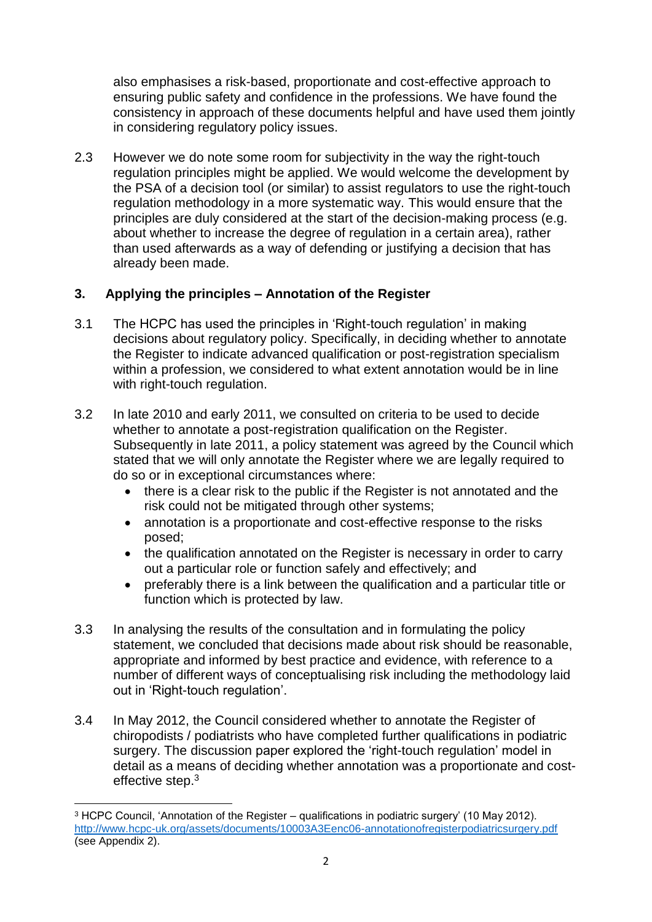also emphasises a risk-based, proportionate and cost-effective approach to ensuring public safety and confidence in the professions. We have found the consistency in approach of these documents helpful and have used them jointly in considering regulatory policy issues.

2.3 However we do note some room for subjectivity in the way the right-touch regulation principles might be applied. We would welcome the development by the PSA of a decision tool (or similar) to assist regulators to use the right-touch regulation methodology in a more systematic way. This would ensure that the principles are duly considered at the start of the decision-making process (e.g. about whether to increase the degree of regulation in a certain area), rather than used afterwards as a way of defending or justifying a decision that has already been made.

## **3. Applying the principles – Annotation of the Register**

- 3.1 The HCPC has used the principles in 'Right-touch regulation' in making decisions about regulatory policy. Specifically, in deciding whether to annotate the Register to indicate advanced qualification or post-registration specialism within a profession, we considered to what extent annotation would be in line with right-touch regulation.
- 3.2 In late 2010 and early 2011, we consulted on criteria to be used to decide whether to annotate a post-registration qualification on the Register. Subsequently in late 2011, a policy statement was agreed by the Council which stated that we will only annotate the Register where we are legally required to do so or in exceptional circumstances where:
	- there is a clear risk to the public if the Register is not annotated and the risk could not be mitigated through other systems;
	- annotation is a proportionate and cost-effective response to the risks posed;
	- the qualification annotated on the Register is necessary in order to carry out a particular role or function safely and effectively; and
	- preferably there is a link between the qualification and a particular title or function which is protected by law.
- 3.3 In analysing the results of the consultation and in formulating the policy statement, we concluded that decisions made about risk should be reasonable, appropriate and informed by best practice and evidence, with reference to a number of different ways of conceptualising risk including the methodology laid out in 'Right-touch regulation'.
- 3.4 In May 2012, the Council considered whether to annotate the Register of chiropodists / podiatrists who have completed further qualifications in podiatric surgery. The discussion paper explored the 'right-touch regulation' model in detail as a means of deciding whether annotation was a proportionate and costeffective step.<sup>3</sup>

 $\overline{\phantom{a}}$ <sup>3</sup> HCPC Council, 'Annotation of the Register – qualifications in podiatric surgery' (10 May 2012). http://www.hcpc-uk.org/assets/documents/10003A3Eenc06-annotationofregisterpodiatricsurgery.pdf (see Appendix 2).